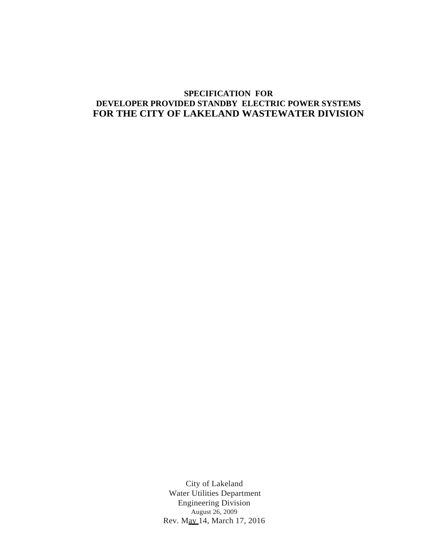# **SPECIFICATION FOR DEVELOPER PROVIDED STANDBY ELECTRIC POWER SYSTEMS FOR THE CITY OF LAKELAND WASTEWATER DIVISION**

City of Lakeland Water Utilities Department Engineering Division August 26, 2009 Rev. May 14, March 17, 2016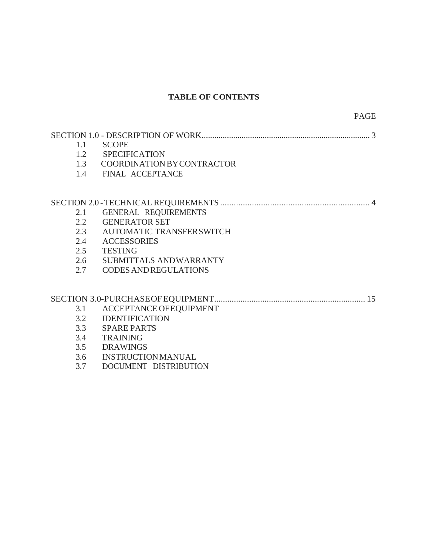# **TABLE OF CONTENTS**

| 1.1 | <b>SCOPE</b>                      |
|-----|-----------------------------------|
|     | 1.2 SPECIFICATION                 |
| 1.3 | <b>COORDINATION BY CONTRACTOR</b> |
| 1.4 | FINAL ACCEPTANCE                  |
|     |                                   |
|     |                                   |
| 2.1 | GENERAL REQUIREMENTS              |
| 2.2 | <b>GENERATOR SET</b>              |
| 2.3 | AUTOMATIC TRANSFERSWITCH          |
| 2.4 | <b>ACCESSORIES</b>                |
| 2.5 | <b>TESTING</b>                    |
| 2.6 | SUBMITTALS ANDWARRANTY            |
| 2.7 | <b>CODES AND REGULATIONS</b>      |
|     |                                   |
|     |                                   |
| 3.1 | ACCEPTANCE OF EQUIPMENT           |
| 3.2 | <b>IDENTIFICATION</b>             |
| 3.3 | <b>SPARE PARTS</b>                |
| 3.4 | <b>TRAINING</b>                   |
| 3.5 | <b>DRAWINGS</b>                   |
| 3.6 | <b>INSTRUCTION MANUAL</b>         |
| 3.7 | DOCUMENT DISTRIBUTION             |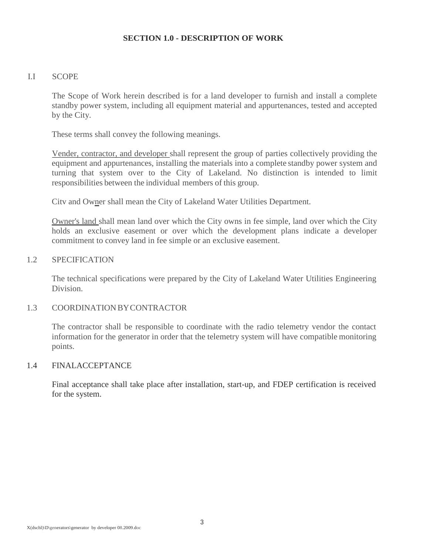## **SECTION 1.0 - DESCRIPTION OF WORK**

### I.I SCOPE

The Scope of Work herein described is for a land developer to furnish and install a complete standby power system, including all equipment material and appurtenances, tested and accepted by the City.

These terms shall convey the following meanings.

Vender, contractor, and developer shall represent the group of parties collectively providing the equipment and appurtenances, installing the materials into a complete standby power system and turning that system over to the City of Lakeland. No distinction is intended to limit responsibilities between the individual members of this group.

Citv and Owner shall mean the City of Lakeland Water Utilities Department.

Owner's land shall mean land over which the City owns in fee simple, land over which the City holds an exclusive easement or over which the development plans indicate a developer commitment to convey land in fee simple or an exclusive easement.

# 1.2 SPECIFICATION

The technical specifications were prepared by the City of Lakeland Water Utilities Engineering Division.

### 1.3 COORDINATION BYCONTRACTOR

The contractor shall be responsible to coordinate with the radio telemetry vendor the contact information for the generator in order that the telemetry system will have compatible monitoring points.

### 1.4 FINALACCEPTANCE

Final acceptance shall take place after installation, start-up, and FDEP certification is received for the system.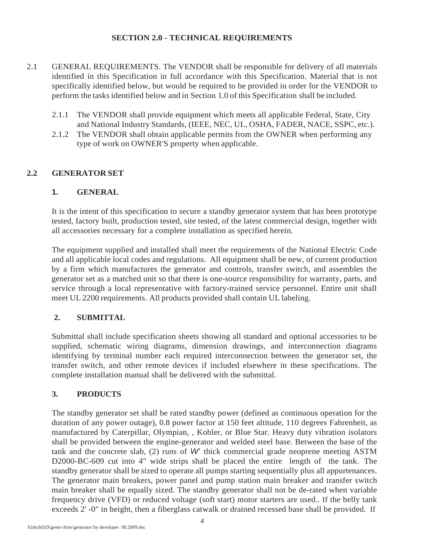## **SECTION 2.0 - TECHNICAL REQUIREMENTS**

- 2.1 GENERAL REQUIREMENTS. The VENDOR shall be responsible for delivery of all materials identified in this Specification in full accordance with this Specification. Material that is not specifically identified below, but would be required to be provided in order for the VENDOR to perform the tasksidentified below and in Section 1.0 of this Specification shall be included.
	- 2.1.1 The VENDOR shall provide equipment which meets all applicable Federal, State, City and National Industry Standards, (IEEE, NEC, UL, OSHA, FADER, NACE, SSPC, etc.).
	- 2.1.2 The VENDOR shall obtain applicable permits from the OWNER when performing any type of work on OWNER'S property when applicable.

## **2.2 GENERATOR SET**

### **1. GENERAL**

It is the intent of this specification to secure a standby generator system that has been prototype tested, factory built, production tested, site tested, of the latest commercial design, together with all accessories necessary for a complete installation as specified herein.

The equipment supplied and installed shall meet the requirements of the National Electric Code and all applicable local codes and regulations. All equipment shall be new, of current production by a firm which manufactures the generator and controls, transfer switch, and assembles the generator set as a matched unit so that there is one-source responsibility for warranty, parts, and service through a local representative with factory-trained service personnel. Entire unit shall meet UL 2200 requirements. All products provided shall contain UL labeling.

### **2. SUBMITTAL**

Submittal shall include specification sheets showing all standard and optional accessories to be supplied, schematic wiring diagrams, dimension drawings, and interconnection diagrams identifying by terminal number each required interconnection between the generator set, the transfer switch, and other remote devices if included elsewhere in these specifications. The complete installation manual shall be delivered with the submittal.

## **3. PRODUCTS**

The standby generator set shall be rated standby power (defined as continuous operation for the duration of any power outage), 0.8 power factor at 150 feet altitude, 110 degrees Fahrenheit, as manufactured by Caterpillar, Olympian, , Kohler, or Blue Star. Heavy duty vibration isolators shall be provided between the engine-generator and welded steel base. Between the base of the tank and the concrete slab, (2) runs of *W'* thick commercial grade neoprene meeting ASTM D2000-BC-609 cut into 4" wide strips shall be placed the entire length of the tank. The standby generator shall be sized to operate all pumps starting sequentially plus all appurtenances. The generator main breakers, power panel and pump station main breaker and transfer switch main breaker shall be equally sized. The standby generator shall not be de-rated when variable frequency drive (VFD) or reduced voltage (soft start) motor starters are used.. If the belly tank exceeds 2' -0" in height, then a fiberglass catwalk or drained recessed base shall be provided. If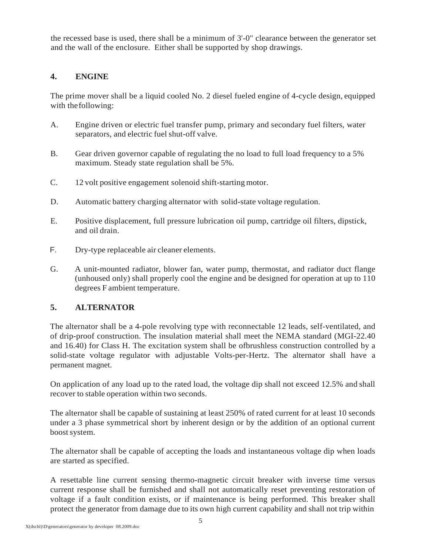the recessed base is used, there shall be a minimum of 3'-0" clearance between the generator set and the wall of the enclosure. Either shall be supported by shop drawings.

# **4. ENGINE**

The prime mover shall be a liquid cooled No. 2 diesel fueled engine of 4-cycle design, equipped with the following:

- A. Engine driven or electric fuel transfer pump, primary and secondary fuel filters, water separators, and electric fuel shut-off valve.
- B. Gear driven governor capable of regulating the no load to full load frequency to a 5% maximum. Steady state regulation shall be 5%.
- C. 12 volt positive engagement solenoid shift-starting motor.
- D. Automatic battery charging alternator with solid-state voltage regulation.
- E. Positive displacement, full pressure lubrication oil pump, cartridge oil filters, dipstick, and oil drain.
- F. Dry-type replaceable air cleaner elements.
- G. A unit-mounted radiator, blower fan, water pump, thermostat, and radiator duct flange (unhoused only) shall properly cool the engine and be designed for operation at up to 110 degrees F ambient temperature.

# **5. ALTERNATOR**

The alternator shall be a 4-pole revolving type with reconnectable 12 leads, self-ventilated, and of drip-proof construction. The insulation material shall meet the NEMA standard (MGI-22.40 and 16.40) for Class H. The excitation system shall be ofbrushless construction controlled by a solid-state voltage regulator with adjustable Volts-per-Hertz. The alternator shall have a permanent magnet.

On application of any load up to the rated load, the voltage dip shall not exceed 12.5% and shall recover to stable operation within two seconds.

The alternator shall be capable of sustaining at least 250% of rated current for at least 10 seconds under a 3 phase symmetrical short by inherent design or by the addition of an optional current boost system.

The alternator shall be capable of accepting the loads and instantaneous voltage dip when loads are started as specified.

A resettable line current sensing thermo-magnetic circuit breaker with inverse time versus current response shall be furnished and shall not automatically reset preventing restoration of voltage if a fault condition exists, or if maintenance is being performed. This breaker shall protect the generator from damage due to its own high current capability and shall not trip within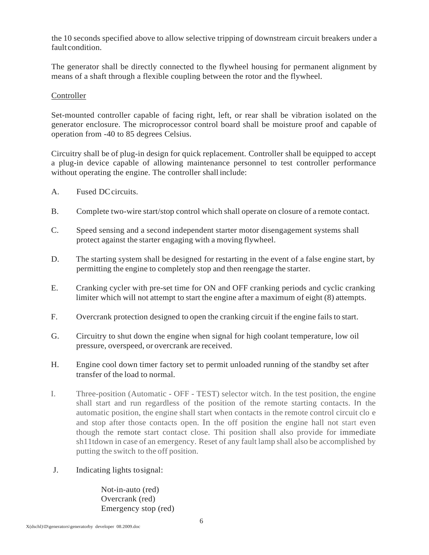the 10 seconds specified above to allow selective tripping of downstream circuit breakers under a fault condition.

The generator shall be directly connected to the flywheel housing for permanent alignment by means of a shaft through a flexible coupling between the rotor and the flywheel.

# **Controller**

Set-mounted controller capable of facing right, left, or rear shall be vibration isolated on the generator enclosure. The microprocessor control board shall be moisture proof and capable of operation from -40 to 85 degrees Celsius.

Circuitry shall be of plug-in design for quick replacement. Controller shall be equipped to accept a plug-in device capable of allowing maintenance personnel to test controller performance without operating the engine. The controller shall include:

- A. Fused DCcircuits.
- B. Complete two-wire start/stop control which shall operate on closure of a remote contact.
- C. Speed sensing and a second independent starter motor disengagement systems shall protect against the starter engaging with a moving flywheel.
- D. The starting system shall be designed for restarting in the event of a false engine start, by permitting the engine to completely stop and then reengage the starter.
- E. Cranking cycler with pre-set time for ON and OFF cranking periods and cyclic cranking limiter which will not attempt to start the engine after a maximum of eight (8) attempts.
- F. Overcrank protection designed to open the cranking circuit if the engine fails to start.
- G. Circuitry to shut down the engine when signal for high coolant temperature, low oil pressure, overspeed, or overcrank are received.
- H. Engine cool down timer factory set to permit unloaded running of the standby set after transfer of the load to normal.
- I. Three-position (Automatic OFF TEST) selector witch. In the test position, the engine shall start and run regardless of the position of the remote starting contacts. In the automatic position, the engine shall start when contacts in the remote control circuit clo e and stop after those contacts open. In the off position the engine hall not start even though the remote start contact close. Thi position shall also provide for immediate sh11tdown in case of an emergency. Reset of any fault lamp shall also be accomplished by putting the switch to the off position.
- J. Indicating lights tosignal:

Not-in-auto (red) Overcrank (red) Emergency stop (red)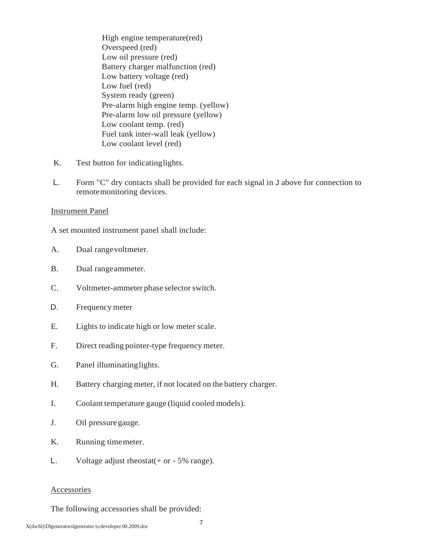High engine temperature(red) Overspeed (red) Low oil pressure (red) Battery charger malfunction (red) Low battery voltage (red) Low fuel (red) System ready (green) Pre-alarm high engine temp. (yellow) Pre-alarm low oil pressure (yellow) Low coolant temp. (red) Fuel tank inter-wall leak (yellow) Low coolant level (red)

- K. Test button for indicatinglights.
- L. Form "C" dry contacts shall be provided for each signal in J above for connection to remotemonitoring devices.

#### Instrument Panel

A set mounted instrument panel shall include:

- A. Dual rangevoltmeter.
- B. Dual rangeammeter.
- C. Voltmeter-ammeter phase selector switch.
- D. Frequency meter
- E. Lights to indicate high or low meter scale.
- F. Direct reading pointer-type frequency meter.
- G. Panel illuminatinglights.
- H. Battery charging meter, if not located on the battery charger.
- I. Coolant temperature gauge (liquid cooled models).
- J. Oil pressuregauge.
- K. Running timemeter.
- L. Voltage adjust rheostat $(+$  or  $-5\%$  range).

### Accessories

The following accessories shall be provided: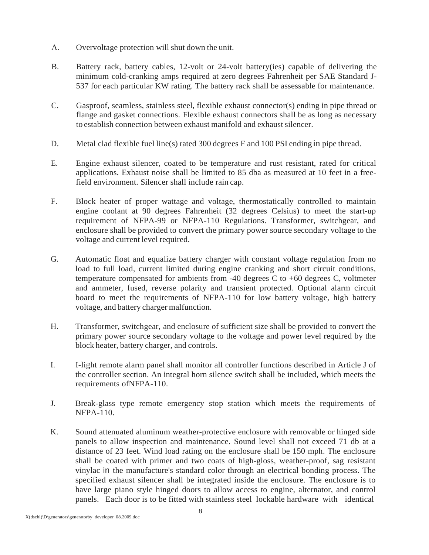- A. Overvoltage protection will shut down the unit.
- B. Battery rack, battery cables, 12-volt or 24-volt battery(ies) capable of delivering the minimum cold-cranking amps required at zero degrees Fahrenheit per SAE Standard J-537 for each particular KW rating. The battery rack shall be assessable for maintenance.
- C. Gasproof, seamless, stainless steel, flexible exhaust connector(s) ending in pipe thread or flange and gasket connections. Flexible exhaust connectors shall be as long as necessary to establish connection between exhaust manifold and exhaust silencer.
- D. Metal clad flexible fuel line(s) rated 300 degrees F and 100 PSI ending in pipe thread.
- E. Engine exhaust silencer, coated to be temperature and rust resistant, rated for critical applications. Exhaust noise shall be limited to 85 dba as measured at 10 feet in a freefield environment. Silencer shall include rain cap.
- F. Block heater of proper wattage and voltage, thermostatically controlled to maintain engine coolant at 90 degrees Fahrenheit (32 degrees Celsius) to meet the start-up requirement of NFPA-99 or NFPA-110 Regulations. Transformer, switchgear, and enclosure shall be provided to convert the primary power source secondary voltage to the voltage and current level required.
- G. Automatic float and equalize battery charger with constant voltage regulation from no load to full load, current limited during engine cranking and short circuit conditions, temperature compensated for ambients from  $-40$  degrees C to  $+60$  degrees C, voltmeter and ammeter, fused, reverse polarity and transient protected. Optional alarm circuit board to meet the requirements of NFPA-110 for low battery voltage, high battery voltage, and battery charger malfunction.
- H. Transformer, switchgear, and enclosure of sufficient size shall be provided to convert the primary power source secondary voltage to the voltage and power level required by the block heater, battery charger, and controls.
- I. I-light remote alarm panel shall monitor all controller functions described in Article J of the controller section. An integral horn silence switch shall be included, which meets the requirements ofNFPA-110.
- J. Break-glass type remote emergency stop station which meets the requirements of NFPA-110.
- K. Sound attenuated aluminum weather-protective enclosure with removable or hinged side panels to allow inspection and maintenance. Sound level shall not exceed 71 db at a distance of 23 feet. Wind load rating on the enclosure shall be 150 mph. The enclosure shall be coated with primer and two coats of high-gloss, weather-proof, sag resistant vinylac in the manufacture's standard color through an electrical bonding process. The specified exhaust silencer shall be integrated inside the enclosure. The enclosure is to have large piano style hinged doors to allow access to engine, alternator, and control panels. Each door is to be fitted with stainless steel lockable hardware with identical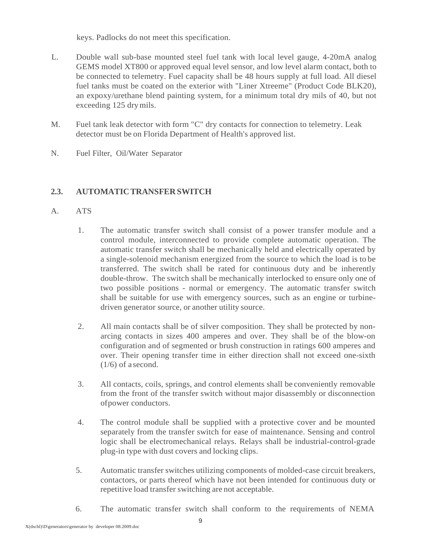keys. Padlocks do not meet this specification.

- L. Double wall sub-base mounted steel fuel tank with local level gauge, 4-20mA analog GEMS model XT800 or approved equal level sensor, and low level alarm contact, both to be connected to telemetry. Fuel capacity shall be 48 hours supply at full load. All diesel fuel tanks must be coated on the exterior with "Liner Xtreeme" (Product Code BLK20), an expoxy/urethane blend painting system, for a minimum total dry mils of 40, but not exceeding 125 drymils.
- M. Fuel tank leak detector with form "C" dry contacts for connection to telemetry. Leak detector must be on Florida Department of Health's approved list.
- N. Fuel Filter, Oil/Water Separator

# **2.3. AUTOMATICTRANSFER SWITCH**

- A. ATS
	- 1. The automatic transfer switch shall consist of a power transfer module and a control module, interconnected to provide complete automatic operation. The automatic transfer switch shall be mechanically held and electrically operated by a single-solenoid mechanism energized from the source to which the load is to be transferred. The switch shall be rated for continuous duty and be inherently double-throw. The switch shall be mechanically interlocked to ensure only one of two possible positions - normal or emergency. The automatic transfer switch shall be suitable for use with emergency sources, such as an engine or turbinedriven generator source, or another utility source.
	- 2. All main contacts shall be of silver composition. They shall be protected by nonarcing contacts in sizes 400 amperes and over. They shall be of the blow-on configuration and of segmented or brush construction in ratings 600 amperes and over. Their opening transfer time in either direction shall not exceed one-sixth  $(1/6)$  of a second.
	- 3. All contacts, coils, springs, and control elements shall be conveniently removable from the front of the transfer switch without major disassembly or disconnection ofpower conductors.
	- 4. The control module shall be supplied with a protective cover and be mounted separately from the transfer switch for ease of maintenance. Sensing and control logic shall be electromechanical relays. Relays shall be industrial-control-grade plug-in type with dust covers and locking clips.
	- 5. Automatic transfer switches utilizing components of molded-case circuit breakers, contactors, or parts thereof which have not been intended for continuous duty or repetitive load transfer switching are not acceptable.
	- 6. The automatic transfer switch shall conform to the requirements of NEMA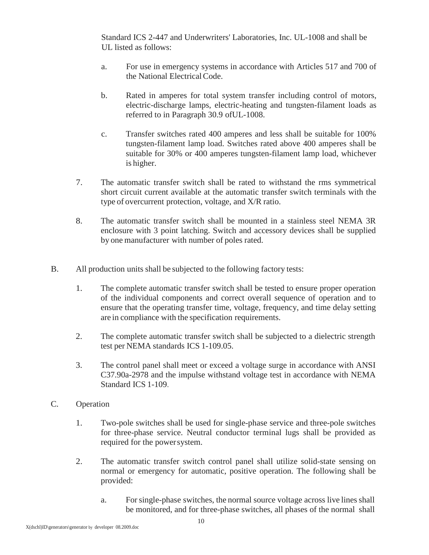Standard ICS 2-447 and Underwriters' Laboratories, Inc. UL-1008 and shall be UL listed as follows:

- a. For use in emergency systems in accordance with Articles 517 and 700 of the National ElectricalCode.
- b. Rated in amperes for total system transfer including control of motors, electric-discharge lamps, electric-heating and tungsten-filament loads as referred to in Paragraph 30.9 ofUL-1008.
- c. Transfer switches rated 400 amperes and less shall be suitable for 100% tungsten-filament lamp load. Switches rated above 400 amperes shall be suitable for 30% or 400 amperes tungsten-filament lamp load, whichever is higher.
- 7. The automatic transfer switch shall be rated to withstand the rms symmetrical short circuit current available at the automatic transfer switch terminals with the type of overcurrent protection, voltage, and X/R ratio.
- 8. The automatic transfer switch shall be mounted in a stainless steel NEMA 3R enclosure with 3 point latching. Switch and accessory devices shall be supplied by one manufacturer with number of poles rated.
- B. All production units shall be subjected to the following factory tests:
	- 1. The complete automatic transfer switch shall be tested to ensure proper operation of the individual components and correct overall sequence of operation and to ensure that the operating transfer time, voltage, frequency, and time delay setting are in compliance with the specification requirements.
	- 2. The complete automatic transfer switch shall be subjected to a dielectric strength test per NEMA standards ICS 1-109.05.
	- 3. The control panel shall meet or exceed a voltage surge in accordance with ANSI C37.90a-2978 and the impulse withstand voltage test in accordance with NEMA Standard ICS 1-109.
- C. Operation
	- 1. Two-pole switches shall be used for single-phase service and three-pole switches for three-phase service. Neutral conductor terminal lugs shall be provided as required for the powersystem.
	- 2. The automatic transfer switch control panel shall utilize solid-state sensing on normal or emergency for automatic, positive operation. The following shall be provided:
		- a. Forsingle-phase switches, the normal source voltage across live lines shall be monitored, and for three-phase switches, all phases of the normal shall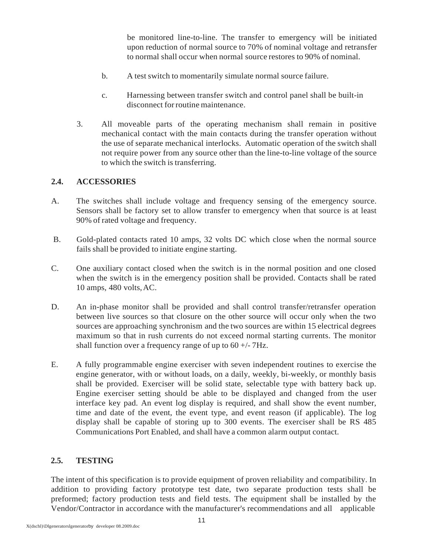be monitored line-to-line. The transfer to emergency will be initiated upon reduction of normal source to 70% of nominal voltage and retransfer to normal shall occur when normal source restores to 90% of nominal.

- b. A test switch to momentarily simulate normal source failure.
- c. Harnessing between transfer switch and control panel shall be built-in disconnect forroutine maintenance.
- 3. All moveable parts of the operating mechanism shall remain in positive mechanical contact with the main contacts during the transfer operation without the use of separate mechanical interlocks. Automatic operation of the switch shall not require power from any source other than the line-to-line voltage of the source to which the switch is transferring.

## **2.4. ACCESSORIES**

- A. The switches shall include voltage and frequency sensing of the emergency source. Sensors shall be factory set to allow transfer to emergency when that source is at least 90% of rated voltage and frequency.
- B. Gold-plated contacts rated 10 amps, 32 volts DC which close when the normal source fails shall be provided to initiate engine starting.
- C. One auxiliary contact closed when the switch is in the normal position and one closed when the switch is in the emergency position shall be provided. Contacts shall be rated 10 amps, 480 volts,AC.
- D. An in-phase monitor shall be provided and shall control transfer/retransfer operation between live sources so that closure on the other source will occur only when the two sources are approaching synchronism and the two sources are within 15 electrical degrees maximum so that in rush currents do not exceed normal starting currents. The monitor shall function over a frequency range of up to  $60 +/-7$ Hz.
- E. A fully programmable engine exerciser with seven independent routines to exercise the engine generator, with or without loads, on a daily, weekly, bi-weekly, or monthly basis shall be provided. Exerciser will be solid state, selectable type with battery back up. Engine exerciser setting should be able to be displayed and changed from the user interface key pad. An event log display is required, and shall show the event number, time and date of the event, the event type, and event reason (if applicable). The log display shall be capable of storing up to 300 events. The exerciser shall be RS 485 Communications Port Enabled, and shall have a common alarm output contact.

# **2.5. TESTING**

The intent of this specification is to provide equipment of proven reliability and compatibility. In addition to providing factory prototype test date, two separate production tests shall be preformed; factory production tests and field tests. The equipment shall be installed by the Vendor/Contractor in accordance with the manufacturer's recommendations and all applicable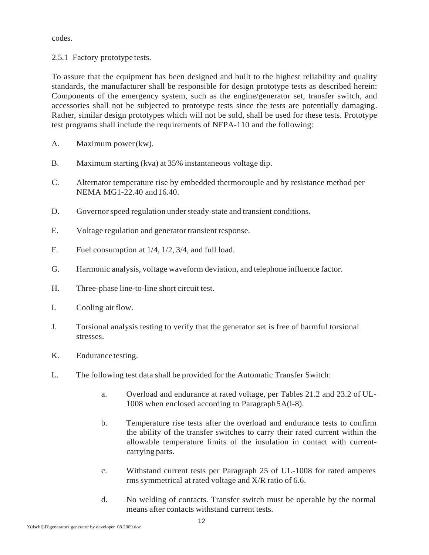codes.

2.5.1 Factory prototype tests.

To assure that the equipment has been designed and built to the highest reliability and quality standards, the manufacturer shall be responsible for design prototype tests as described herein: Components of the emergency system, such as the engine/generator set, transfer switch, and accessories shall not be subjected to prototype tests since the tests are potentially damaging. Rather, similar design prototypes which will not be sold, shall be used for these tests. Prototype test programs shall include the requirements of NFPA-110 and the following:

- A. Maximum power(kw).
- B. Maximum starting (kva) at 35% instantaneous voltage dip.
- C. Alternator temperature rise by embedded thermocouple and by resistance method per NEMA MG1-22.40 and16.40.
- D. Governor speed regulation under steady-state and transient conditions.
- E. Voltage regulation and generator transient response.
- F. Fuel consumption at 1/4, 1/2, 3/4, and full load.
- G. Harmonic analysis, voltage waveform deviation, and telephone influence factor.
- H. Three-phase line-to-line short circuit test.
- I. Cooling airflow.
- J. Torsional analysis testing to verify that the generator set is free of harmful torsional stresses.
- K. Endurance testing.
- L. The following test data shall be provided for the Automatic Transfer Switch:
	- a. Overload and endurance at rated voltage, per Tables 21.2 and 23.2 of UL-1008 when enclosed according to Paragraph5A(l-8).
	- b. Temperature rise tests after the overload and endurance tests to confirm the ability of the transfer switches to carry their rated current within the allowable temperature limits of the insulation in contact with currentcarrying parts.
	- c. Withstand current tests per Paragraph 25 of UL-1008 for rated amperes rms symmetrical at rated voltage and X/R ratio of 6.6.
	- d. No welding of contacts. Transfer switch must be operable by the normal means after contacts withstand current tests.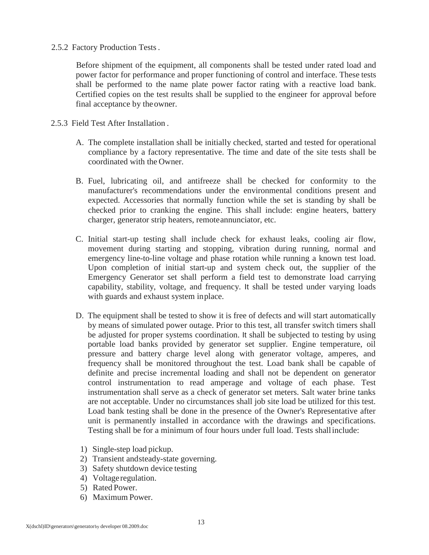2.5.2 Factory Production Tests.

Before shipment of the equipment, all components shall be tested under rated load and power factor for performance and proper functioning of control and interface. These tests shall be performed to the name plate power factor rating with a reactive load bank. Certified copies on the test results shall be supplied to the engineer for approval before final acceptance by theowner.

- 2.5.3 Field Test After Installation .
	- A. The complete installation shall be initially checked, started and tested for operational compliance by a factory representative. The time and date of the site tests shall be coordinated with the Owner.
	- B. Fuel, lubricating oil, and antifreeze shall be checked for conformity to the manufacturer's recommendations under the environmental conditions present and expected. Accessories that normally function while the set is standing by shall be checked prior to cranking the engine. This shall include: engine heaters, battery charger, generator strip heaters, remoteannunciator, etc.
	- C. Initial start-up testing shall include check for exhaust leaks, cooling air flow, movement during starting and stopping, vibration during running, normal and emergency line-to-line voltage and phase rotation while running a known test load. Upon completion of initial start-up and system check out, the supplier of the Emergency Generator set shall perform a field test to demonstrate load carrying capability, stability, voltage, and frequency. It shall be tested under varying loads with guards and exhaust system inplace.
	- D. The equipment shall be tested to show it is free of defects and will start automatically by means of simulated power outage. Prior to this test, all transfer switch timers shall be adjusted for proper systems coordination. It shall be subjected to testing by using portable load banks provided by generator set supplier. Engine temperature, oil pressure and battery charge level along with generator voltage, amperes, and frequency shall be monitored throughout the test. Load bank shall be capable of definite and precise incremental loading and shall not be dependent on generator control instrumentation to read amperage and voltage of each phase. Test instrumentation shall serve as a check of generator set meters. Salt water brine tanks are not acceptable. Under no circumstances shall job site load be utilized for this test. Load bank testing shall be done in the presence of the Owner's Representative after unit is permanently installed in accordance with the drawings and specifications. Testing shall be for a minimum of four hours under full load. Tests shallinclude:
		- 1) Single-step load pickup.
		- 2) Transient andsteady-state governing.
		- 3) Safety shutdown device testing
		- 4) Voltage regulation.
		- 5) Rated Power.
		- 6) Maximum Power.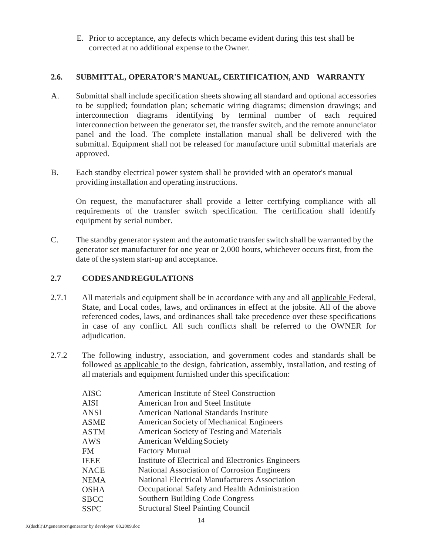E. Prior to acceptance, any defects which became evident during this test shall be corrected at no additional expense to the Owner.

# **2.6. SUBMITTAL, OPERATOR'S MANUAL, CERTIFICATION, AND WARRANTY**

- A. Submittal shall include specification sheets showing all standard and optional accessories to be supplied; foundation plan; schematic wiring diagrams; dimension drawings; and interconnection diagrams identifying by terminal number of each required interconnection between the generator set, the transfer switch, and the remote annunciator panel and the load. The complete installation manual shall be delivered with the submittal. Equipment shall not be released for manufacture until submittal materials are approved.
- B. Each standby electrical power system shall be provided with an operator's manual providing installation and operating instructions.

On request, the manufacturer shall provide a letter certifying compliance with all requirements of the transfer switch specification. The certification shall identify equipment by serial number.

C. The standby generator system and the automatic transfer switch shall be warranted by the generator set manufacturer for one year or 2,000 hours, whichever occurs first, from the date of the system start-up and acceptance.

## **2.7 CODESANDREGULATIONS**

- 2.7.1 All materials and equipment shall be in accordance with any and all applicable Federal, State, and Local codes, laws, and ordinances in effect at the jobsite. All of the above referenced codes, laws, and ordinances shall take precedence over these specifications in case of any conflict. All such conflicts shall be referred to the OWNER for adjudication.
- 2.7.2 The following industry, association, and government codes and standards shall be followed as applicable to the design, fabrication, assembly, installation, and testing of all materials and equipment furnished under this specification:

| <b>AISC</b> | American Institute of Steel Construction             |
|-------------|------------------------------------------------------|
| AISI        | American Iron and Steel Institute                    |
| ANSI        | <b>American National Standards Institute</b>         |
| ASME        | <b>American Society of Mechanical Engineers</b>      |
| ASTM        | American Society of Testing and Materials            |
| AWS         | <b>American Welding Society</b>                      |
| FM          | <b>Factory Mutual</b>                                |
| <b>IEEE</b> | Institute of Electrical and Electronics Engineers    |
| <b>NACE</b> | National Association of Corrosion Engineers          |
| <b>NEMA</b> | <b>National Electrical Manufacturers Association</b> |
| <b>OSHA</b> | Occupational Safety and Health Administration        |
| <b>SBCC</b> | Southern Building Code Congress                      |
| <b>SSPC</b> | <b>Structural Steel Painting Council</b>             |
|             |                                                      |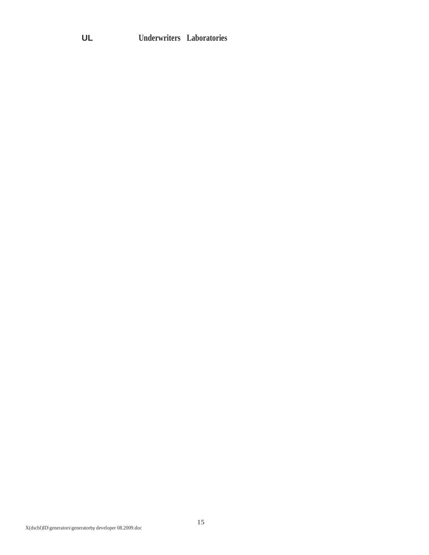# **UL Underwriters Laboratories**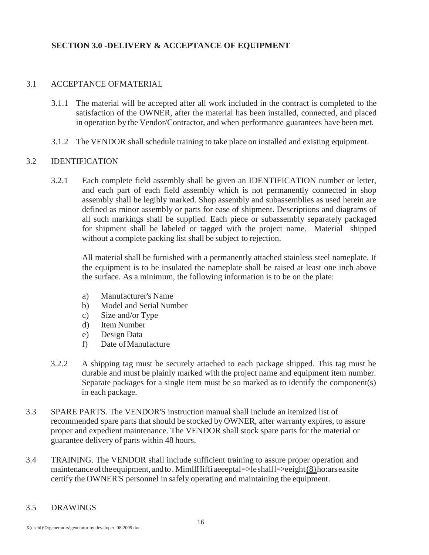# **SECTION 3.0 -DELIVERY & ACCEPTANCE OF EQUIPMENT**

## 3.1 ACCEPTANCE OFMATERIAL

- 3.1.1 The material will be accepted after all work included in the contract is completed to the satisfaction of the OWNER, after the material has been installed, connected, and placed in operation by the Vendor/Contractor, and when performance guarantees have been met.
- 3.1.2 The VENDOR shall schedule training to take place on installed and existing equipment.

## 3.2 IDENTIFICATION

3.2.1 Each complete field assembly shall be given an IDENTIFICATION number or letter, and each part of each field assembly which is not permanently connected in shop assembly shall be legibly marked. Shop assembly and subassemblies as used herein are defined as minor assembly or parts for ease of shipment. Descriptions and diagrams of all such markings shall be supplied. Each piece or subassembly separately packaged for shipment shall be labeled or tagged with the project name. Material shipped without a complete packing list shall be subject to rejection.

All material shall be furnished with a permanently attached stainless steel nameplate. If the equipment is to be insulated the nameplate shall be raised at least one inch above the surface. As a minimum, the following information is to be on the plate:

- a) Manufacturer's Name
- b) Model and Serial Number
- c) Size and/or Type
- d) Item Number
- e) Design Data
- f) Date ofManufacture
- 3.2.2 A shipping tag must be securely attached to each package shipped. This tag must be durable and must be plainly marked with the project name and equipment item number. Separate packages for a single item must be so marked as to identify the component(s) in each package.
- 3.3 SPARE PARTS. The VENDOR'S instruction manual shall include an itemized list of recommended spare parts that should be stocked by OWNER, after warranty expires, to assure proper and expedient maintenance. The VENDOR shall stock spare parts for the material or guarantee delivery of parts within 48 hours.
- 3.4 TRAINING. The VENDOR shall include sufficient training to assure proper operation and maintenance of the equipment, and to. MimllHiffi aeeeptal=>le shall l=>eeight $(8)$  ho: ars ea site certify the OWNER'S personnel in safely operating and maintaining the equipment.

### 3.5 DRAWINGS